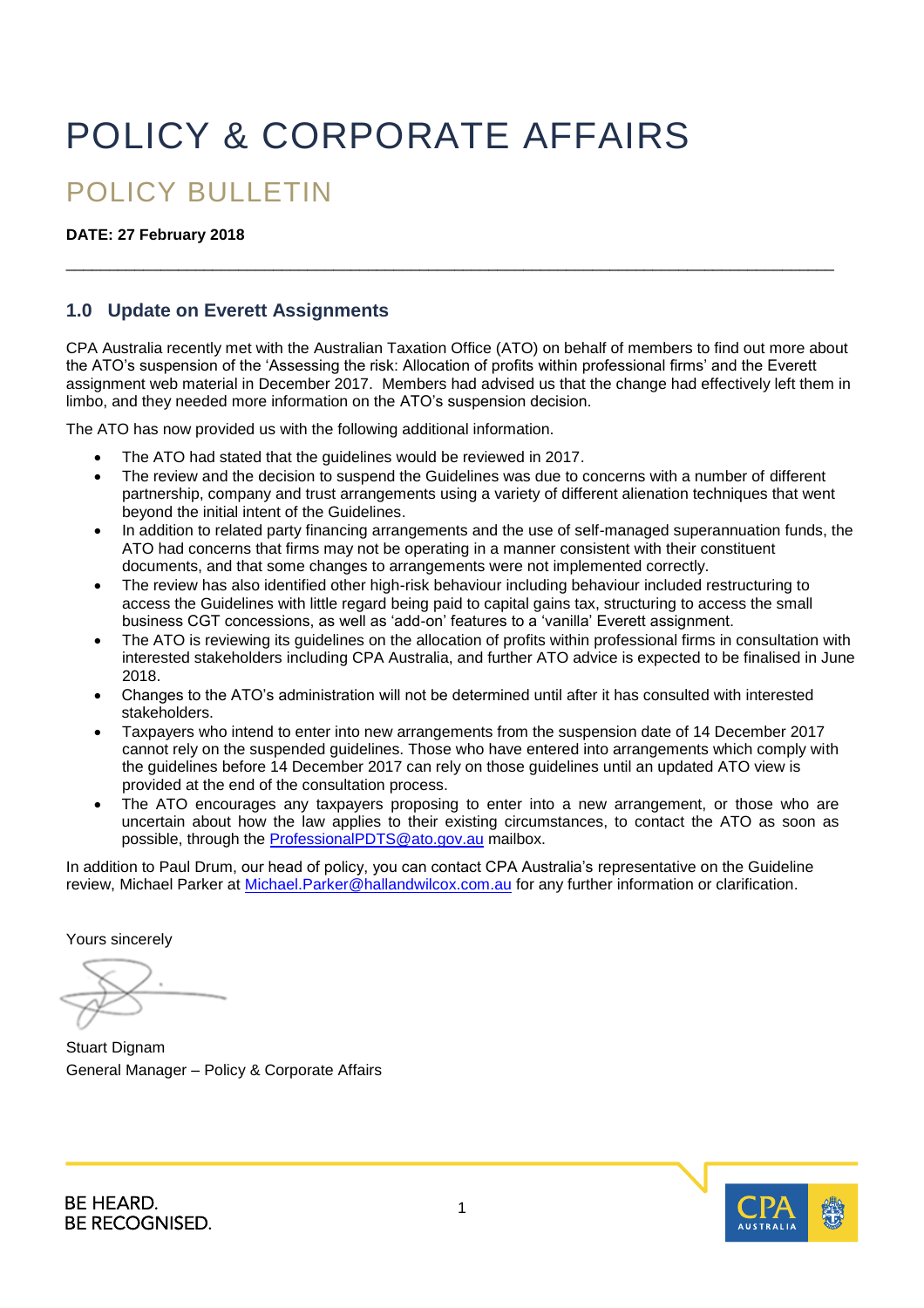# POLICY & CORPORATE AFFAIRS

# POLICY BULLETIN

#### **DATE: 27 February 2018**

### **1.0 Update on Everett Assignments**

CPA Australia recently met with the Australian Taxation Office (ATO) on behalf of members to find out more about the ATO's suspension of the 'Assessing the risk: Allocation of profits within professional firms' and the Everett assignment web material in December 2017. Members had advised us that the change had effectively left them in limbo, and they needed more information on the ATO's suspension decision.

\_\_\_\_\_\_\_\_\_\_\_\_\_\_\_\_\_\_\_\_\_\_\_\_\_\_\_\_\_\_\_\_\_\_\_\_\_\_\_\_\_\_\_\_\_\_\_\_\_\_\_\_\_\_\_\_\_\_\_\_\_\_\_\_\_\_\_\_\_\_\_\_\_\_\_\_\_\_\_\_\_\_\_\_\_\_\_\_\_

The ATO has now provided us with the following additional information.

- The ATO had stated that the guidelines would be reviewed in 2017.
- The review and the decision to suspend the Guidelines was due to concerns with a number of different partnership, company and trust arrangements using a variety of different alienation techniques that went beyond the initial intent of the Guidelines.
- In addition to related party financing arrangements and the use of self-managed superannuation funds, the ATO had concerns that firms may not be operating in a manner consistent with their constituent documents, and that some changes to arrangements were not implemented correctly.
- The review has also identified other high-risk behaviour including behaviour included restructuring to access the Guidelines with little regard being paid to capital gains tax, structuring to access the small business CGT concessions, as well as 'add-on' features to a 'vanilla' Everett assignment.
- The ATO is reviewing its guidelines on the allocation of profits within professional firms in consultation with interested stakeholders including CPA Australia, and further ATO advice is expected to be finalised in June 2018.
- Changes to the ATO's administration will not be determined until after it has consulted with interested stakeholders.
- Taxpayers who intend to enter into new arrangements from the suspension date of 14 December 2017 cannot rely on the suspended guidelines. Those who have entered into arrangements which comply with the guidelines before 14 December 2017 can rely on those guidelines until an updated ATO view is provided at the end of the consultation process.
- The ATO encourages any taxpayers proposing to enter into a new arrangement, or those who are uncertain about how the law applies to their existing circumstances, to contact the ATO as soon as possible, through the [ProfessionalPDTS@ato.gov.au m](mailto:ProfessionalPDTS@ato.gov.au)ailbox.

In addition to Paul Drum, our head of policy, you can contact CPA Australia's representative on the Guideline review, Michael Parker at [Michael.Parker@hallandwilcox.com.au](mailto:Michael.Parker@hallandwilcox.com.au) for any further information or clarification.

Yours sincerely

**Stuart Dignam** General Manager – Policy & Corporate Affairs



**BE HEARD. BE RECOGNISED.**